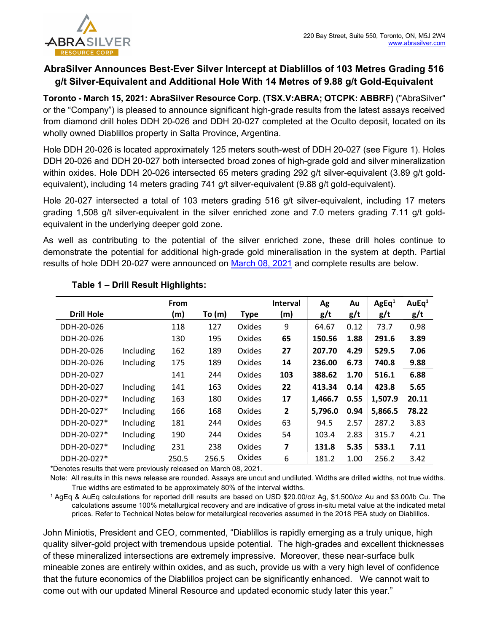

# AbraSilver Announces Best-Ever Silver Intercept at Diablillos of 103 Metres Grading 516 g/t Silver-Equivalent and Additional Hole With 14 Metres of 9.88 g/t Gold-Equivalent

Toronto - March 15, 2021: AbraSilver Resource Corp. (TSX.V:ABRA; OTCPK: ABBRF) ("AbraSilver" or the "Company") is pleased to announce significant high-grade results from the latest assays received from diamond drill holes DDH 20-026 and DDH 20-027 completed at the Oculto deposit, located on its wholly owned Diablillos property in Salta Province, Argentina.

Hole DDH 20-026 is located approximately 125 meters south-west of DDH 20-027 (see Figure 1). Holes DDH 20-026 and DDH 20-027 both intersected broad zones of high-grade gold and silver mineralization within oxides. Hole DDH 20-026 intersected 65 meters grading 292 g/t silver-equivalent (3.89 g/t goldequivalent), including 14 meters grading 741 g/t silver-equivalent (9.88 g/t gold-equivalent).

Hole 20-027 intersected a total of 103 meters grading 516 g/t silver-equivalent, including 17 meters grading 1,508 g/t silver-equivalent in the silver enriched zone and 7.0 meters grading 7.11 g/t goldequivalent in the underlying deeper gold zone.

As well as contributing to the potential of the silver enriched zone, these drill holes continue to demonstrate the potential for additional high-grade gold mineralisation in the system at depth. Partial results of hole DDH 20-027 were announced on March 08, 2021 and complete results are below.

|                   |           | <b>From</b> |          |             | <b>Interval</b>         | Ag      | Au   | AgEq <sup>1</sup> | AuE $q1$ |
|-------------------|-----------|-------------|----------|-------------|-------------------------|---------|------|-------------------|----------|
| <b>Drill Hole</b> |           | (m)         | To $(m)$ | <b>Type</b> | (m)                     | g/t     | g/t  | g/t               | g/t      |
| DDH-20-026        |           | 118         | 127      | Oxides      | 9                       | 64.67   | 0.12 | 73.7              | 0.98     |
| DDH-20-026        |           | 130         | 195      | Oxides      | 65                      | 150.56  | 1.88 | 291.6             | 3.89     |
| DDH-20-026        | Including | 162         | 189      | Oxides      | 27                      | 207.70  | 4.29 | 529.5             | 7.06     |
| DDH-20-026        | Including | 175         | 189      | Oxides      | 14                      | 236.00  | 6.73 | 740.8             | 9.88     |
| DDH-20-027        |           | 141         | 244      | Oxides      | 103                     | 388.62  | 1.70 | 516.1             | 6.88     |
| DDH-20-027        | Including | 141         | 163      | Oxides      | 22                      | 413.34  | 0.14 | 423.8             | 5.65     |
| DDH-20-027*       | Including | 163         | 180      | Oxides      | 17                      | 1,466.7 | 0.55 | 1,507.9           | 20.11    |
| DDH-20-027*       | Including | 166         | 168      | Oxides      | $\overline{2}$          | 5,796.0 | 0.94 | 5,866.5           | 78.22    |
| DDH-20-027*       | Including | 181         | 244      | Oxides      | 63                      | 94.5    | 2.57 | 287.2             | 3.83     |
| DDH-20-027*       | Including | 190         | 244      | Oxides      | 54                      | 103.4   | 2.83 | 315.7             | 4.21     |
| DDH-20-027*       | Including | 231         | 238      | Oxides      | $\overline{\mathbf{z}}$ | 131.8   | 5.35 | 533.1             | 7.11     |
| DDH-20-027*       |           | 250.5       | 256.5    | Oxides      | 6                       | 181.2   | 1.00 | 256.2             | 3.42     |

## Table 1 – Drill Result Highlights:

\*Denotes results that were previously released on March 08, 2021.

Note: All results in this news release are rounded. Assays are uncut and undiluted. Widths are drilled widths, not true widths. True widths are estimated to be approximately 80% of the interval widths.

<sup>1</sup>AgEq & AuEq calculations for reported drill results are based on USD \$20.00/oz Ag, \$1,500/oz Au and \$3.00/lb Cu. The calculations assume 100% metallurgical recovery and are indicative of gross in-situ metal value at the indicated metal prices. Refer to Technical Notes below for metallurgical recoveries assumed in the 2018 PEA study on Diablillos.

John Miniotis, President and CEO, commented, "Diablillos is rapidly emerging as a truly unique, high quality silver-gold project with tremendous upside potential. The high-grades and excellent thicknesses of these mineralized intersections are extremely impressive. Moreover, these near-surface bulk mineable zones are entirely within oxides, and as such, provide us with a very high level of confidence that the future economics of the Diablillos project can be significantly enhanced. We cannot wait to come out with our updated Mineral Resource and updated economic study later this year."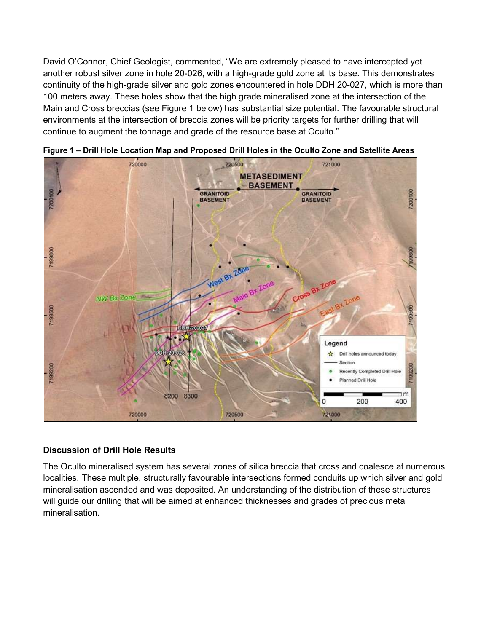David O'Connor, Chief Geologist, commented, "We are extremely pleased to have intercepted yet another robust silver zone in hole 20-026, with a high-grade gold zone at its base. This demonstrates continuity of the high-grade silver and gold zones encountered in hole DDH 20-027, which is more than 100 meters away. These holes show that the high grade mineralised zone at the intersection of the Main and Cross breccias (see Figure 1 below) has substantial size potential. The favourable structural environments at the intersection of breccia zones will be priority targets for further drilling that will continue to augment the tonnage and grade of the resource base at Oculto."



Figure 1 – Drill Hole Location Map and Proposed Drill Holes in the Oculto Zone and Satellite Areas

### Discussion of Drill Hole Results

The Oculto mineralised system has several zones of silica breccia that cross and coalesce at numerous localities. These multiple, structurally favourable intersections formed conduits up which silver and gold mineralisation ascended and was deposited. An understanding of the distribution of these structures will guide our drilling that will be aimed at enhanced thicknesses and grades of precious metal mineralisation.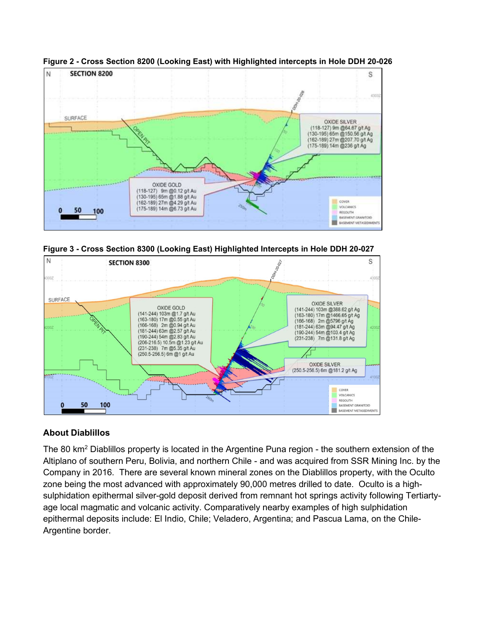

Figure 2 - Cross Section 8200 (Looking East) with Highlighted intercepts in Hole DDH 20-026





## About Diablillos

The 80 km<sup>2</sup> Diablillos property is located in the Argentine Puna region - the southern extension of the Altiplano of southern Peru, Bolivia, and northern Chile - and was acquired from SSR Mining Inc. by the Company in 2016. There are several known mineral zones on the Diablillos property, with the Oculto zone being the most advanced with approximately 90,000 metres drilled to date. Oculto is a highsulphidation epithermal silver-gold deposit derived from remnant hot springs activity following Tertiartyage local magmatic and volcanic activity. Comparatively nearby examples of high sulphidation epithermal deposits include: El Indio, Chile; Veladero, Argentina; and Pascua Lama, on the Chile-Argentine border.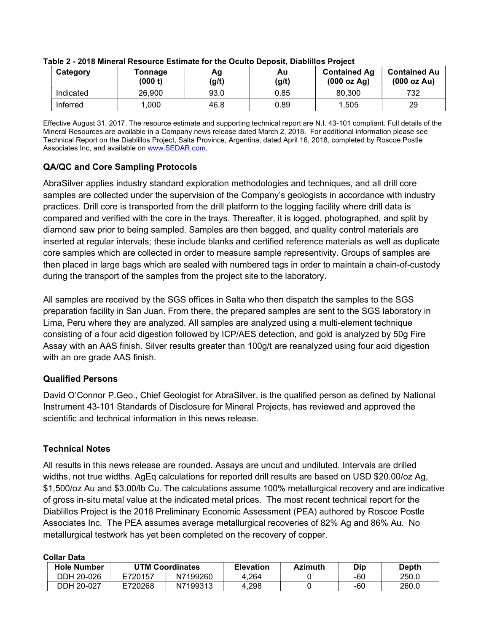| Category  | Tonnage<br>(000 t) | Αg<br>(g/t) | Au<br>(g/t) | <b>Contained Ag</b><br>(000 oz Ag) | <b>Contained Au</b><br>(000 oz Au) |
|-----------|--------------------|-------------|-------------|------------------------------------|------------------------------------|
| Indicated | 26,900             | 93.0        | 0.85        | 80.300                             | 732                                |
| Inferred  | .000               | 46.8        | 0.89        | 1,505                              | 29                                 |

#### Table 2 - 2018 Mineral Resource Estimate for the Oculto Deposit, Diablillos Project

Effective August 31, 2017. The resource estimate and supporting technical report are N.I. 43-101 compliant. Full details of the Mineral Resources are available in a Company news release dated March 2, 2018. For additional information please see Technical Report on the Diablillos Project, Salta Province, Argentina, dated April 16, 2018, completed by Roscoe Postle Associates Inc, and available on www.SEDAR.com.

## QA/QC and Core Sampling Protocols

AbraSilver applies industry standard exploration methodologies and techniques, and all drill core samples are collected under the supervision of the Company's geologists in accordance with industry practices. Drill core is transported from the drill platform to the logging facility where drill data is compared and verified with the core in the trays. Thereafter, it is logged, photographed, and split by diamond saw prior to being sampled. Samples are then bagged, and quality control materials are inserted at regular intervals; these include blanks and certified reference materials as well as duplicate core samples which are collected in order to measure sample representivity. Groups of samples are then placed in large bags which are sealed with numbered tags in order to maintain a chain-of-custody during the transport of the samples from the project site to the laboratory.

All samples are received by the SGS offices in Salta who then dispatch the samples to the SGS preparation facility in San Juan. From there, the prepared samples are sent to the SGS laboratory in Lima, Peru where they are analyzed. All samples are analyzed using a multi-element technique consisting of a four acid digestion followed by ICP/AES detection, and gold is analyzed by 50g Fire Assay with an AAS finish. Silver results greater than 100g/t are reanalyzed using four acid digestion with an ore grade AAS finish.

## Qualified Persons

David O'Connor P.Geo., Chief Geologist for AbraSilver, is the qualified person as defined by National Instrument 43-101 Standards of Disclosure for Mineral Projects, has reviewed and approved the scientific and technical information in this news release.

### Technical Notes

All results in this news release are rounded. Assays are uncut and undiluted. Intervals are drilled widths, not true widths. AgEq calculations for reported drill results are based on USD \$20.00/oz Ag, \$1,500/oz Au and \$3.00/lb Cu. The calculations assume 100% metallurgical recovery and are indicative of gross in-situ metal value at the indicated metal prices. The most recent technical report for the Diablillos Project is the 2018 Preliminary Economic Assessment (PEA) authored by Roscoe Postle Associates Inc. The PEA assumes average metallurgical recoveries of 82% Ag and 86% Au. No metallurgical testwork has yet been completed on the recovery of copper.

#### Collar Data

| .                  |                 |          |                  |                |     |              |  |  |
|--------------------|-----------------|----------|------------------|----------------|-----|--------------|--|--|
| <b>Hole Number</b> | UTM Coordinates |          | <b>Elevation</b> | <b>Azimuth</b> | Dip | <b>Depth</b> |  |  |
| DDH 20-026         | E720157         | N7199260 | 4.264            |                | -60 | 250.0        |  |  |
| DDH 20-027         | E720268         | N7199313 | 4.298            |                | -60 | 260.0        |  |  |